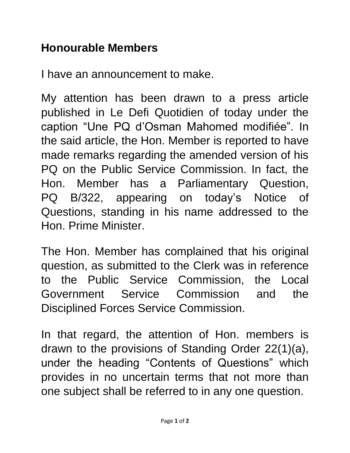## **Honourable Members**

I have an announcement to make.

My attention has been drawn to a press article published in Le Defi Quotidien of today under the caption "Une PQ d'Osman Mahomed modifiée". In the said article, the Hon. Member is reported to have made remarks regarding the amended version of his PQ on the Public Service Commission. In fact, the Hon. Member has a Parliamentary Question, PQ B/322, appearing on today's Notice of Questions, standing in his name addressed to the Hon. Prime Minister.

The Hon. Member has complained that his original question, as submitted to the Clerk was in reference to the Public Service Commission, the Local Government Service Commission and the Disciplined Forces Service Commission.

In that regard, the attention of Hon. members is drawn to the provisions of Standing Order 22(1)(a), under the heading "Contents of Questions" which provides in no uncertain terms that not more than one subject shall be referred to in any one question.